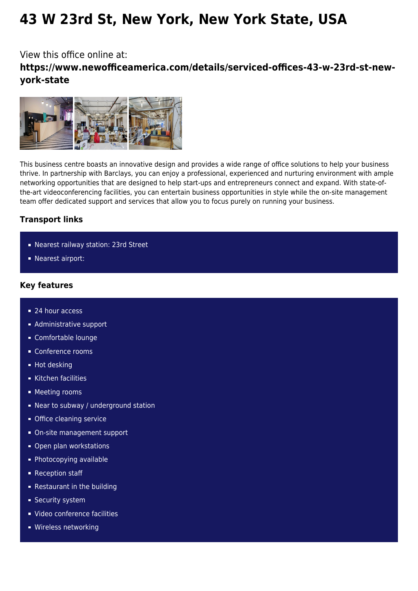# **43 W 23rd St, New York, New York State, USA**

## View this office online at: **https://www.newofficeamerica.com/details/serviced-offices-43-w-23rd-st-newyork-state**



This business centre boasts an innovative design and provides a wide range of office solutions to help your business thrive. In partnership with Barclays, you can enjoy a professional, experienced and nurturing environment with ample networking opportunities that are designed to help start-ups and entrepreneurs connect and expand. With state-ofthe-art videoconferencing facilities, you can entertain business opportunities in style while the on-site management team offer dedicated support and services that allow you to focus purely on running your business.

### **Transport links**

- Nearest railway station: 23rd Street
- **Nearest airport:**

#### **Key features**

- 24 hour access
- **Administrative support**
- Comfortable lounge
- Conference rooms
- Hot desking
- Kitchen facilities
- **Meeting rooms**
- Near to subway / underground station
- **Office cleaning service**
- On-site management support
- Open plan workstations
- **Photocopying available**
- **Reception staff**
- **Restaurant in the building**
- **Security system**
- Video conference facilities
- **Wireless networking**